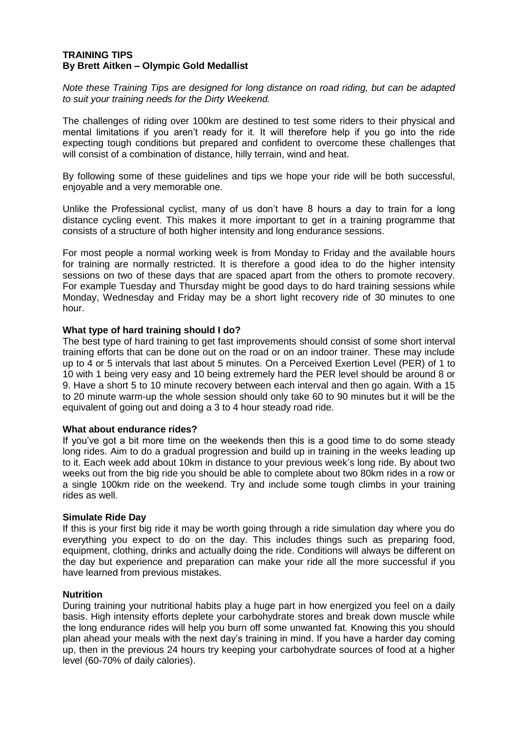## **TRAINING TIPS By Brett Aitken – Olympic Gold Medallist**

*Note these Training Tips are designed for long distance on road riding, but can be adapted to suit your training needs for the Dirty Weekend.*

The challenges of riding over 100km are destined to test some riders to their physical and mental limitations if you aren't ready for it. It will therefore help if you go into the ride expecting tough conditions but prepared and confident to overcome these challenges that will consist of a combination of distance, hilly terrain, wind and heat.

By following some of these guidelines and tips we hope your ride will be both successful, enjoyable and a very memorable one.

Unlike the Professional cyclist, many of us don't have 8 hours a day to train for a long distance cycling event. This makes it more important to get in a training programme that consists of a structure of both higher intensity and long endurance sessions.

For most people a normal working week is from Monday to Friday and the available hours for training are normally restricted. It is therefore a good idea to do the higher intensity sessions on two of these days that are spaced apart from the others to promote recovery. For example Tuesday and Thursday might be good days to do hard training sessions while Monday, Wednesday and Friday may be a short light recovery ride of 30 minutes to one hour.

#### **What type of hard training should I do?**

The best type of hard training to get fast improvements should consist of some short interval training efforts that can be done out on the road or on an indoor trainer. These may include up to 4 or 5 intervals that last about 5 minutes. On a Perceived Exertion Level (PER) of 1 to 10 with 1 being very easy and 10 being extremely hard the PER level should be around 8 or 9. Have a short 5 to 10 minute recovery between each interval and then go again. With a 15 to 20 minute warm-up the whole session should only take 60 to 90 minutes but it will be the equivalent of going out and doing a 3 to 4 hour steady road ride.

#### **What about endurance rides?**

If you've got a bit more time on the weekends then this is a good time to do some steady long rides. Aim to do a gradual progression and build up in training in the weeks leading up to it. Each week add about 10km in distance to your previous week's long ride. By about two weeks out from the big ride you should be able to complete about two 80km rides in a row or a single 100km ride on the weekend. Try and include some tough climbs in your training rides as well.

#### **Simulate Ride Day**

If this is your first big ride it may be worth going through a ride simulation day where you do everything you expect to do on the day. This includes things such as preparing food, equipment, clothing, drinks and actually doing the ride. Conditions will always be different on the day but experience and preparation can make your ride all the more successful if you have learned from previous mistakes.

#### **Nutrition**

During training your nutritional habits play a huge part in how energized you feel on a daily basis. High intensity efforts deplete your carbohydrate stores and break down muscle while the long endurance rides will help you burn off some unwanted fat. Knowing this you should plan ahead your meals with the next day's training in mind. If you have a harder day coming up, then in the previous 24 hours try keeping your carbohydrate sources of food at a higher level (60-70% of daily calories).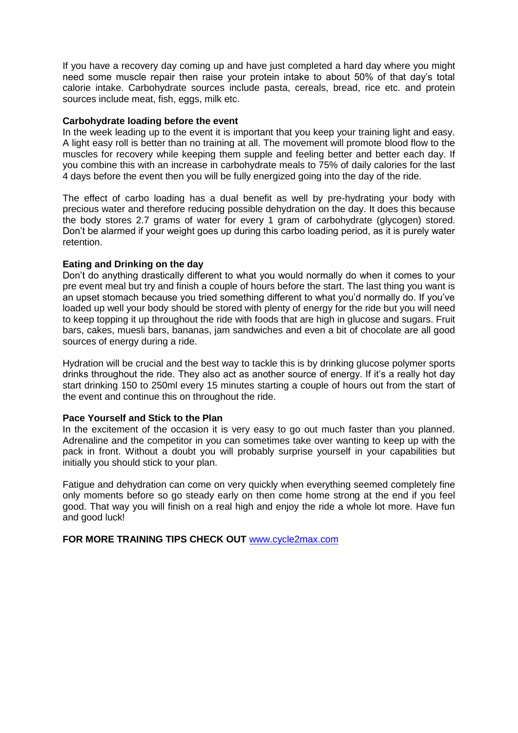If you have a recovery day coming up and have just completed a hard day where you might need some muscle repair then raise your protein intake to about 50% of that day's total calorie intake. Carbohydrate sources include pasta, cereals, bread, rice etc. and protein sources include meat, fish, eggs, milk etc.

#### **Carbohydrate loading before the event**

In the week leading up to the event it is important that you keep your training light and easy. A light easy roll is better than no training at all. The movement will promote blood flow to the muscles for recovery while keeping them supple and feeling better and better each day. If you combine this with an increase in carbohydrate meals to 75% of daily calories for the last 4 days before the event then you will be fully energized going into the day of the ride.

The effect of carbo loading has a dual benefit as well by pre-hydrating your body with precious water and therefore reducing possible dehydration on the day. It does this because the body stores 2.7 grams of water for every 1 gram of carbohydrate (glycogen) stored. Don't be alarmed if your weight goes up during this carbo loading period, as it is purely water retention.

#### **Eating and Drinking on the day**

Don't do anything drastically different to what you would normally do when it comes to your pre event meal but try and finish a couple of hours before the start. The last thing you want is an upset stomach because you tried something different to what you'd normally do. If you've loaded up well your body should be stored with plenty of energy for the ride but you will need to keep topping it up throughout the ride with foods that are high in glucose and sugars. Fruit bars, cakes, muesli bars, bananas, jam sandwiches and even a bit of chocolate are all good sources of energy during a ride.

Hydration will be crucial and the best way to tackle this is by drinking glucose polymer sports drinks throughout the ride. They also act as another source of energy. If it's a really hot day start drinking 150 to 250ml every 15 minutes starting a couple of hours out from the start of the event and continue this on throughout the ride.

## **Pace Yourself and Stick to the Plan**

In the excitement of the occasion it is very easy to go out much faster than you planned. Adrenaline and the competitor in you can sometimes take over wanting to keep up with the pack in front. Without a doubt you will probably surprise yourself in your capabilities but initially you should stick to your plan.

Fatigue and dehydration can come on very quickly when everything seemed completely fine only moments before so go steady early on then come home strong at the end if you feel good. That way you will finish on a real high and enjoy the ride a whole lot more. Have fun and good luck!

**FOR MORE TRAINING TIPS CHECK OUT** [www.cycle2max.com](http://www.cycle2max.com/)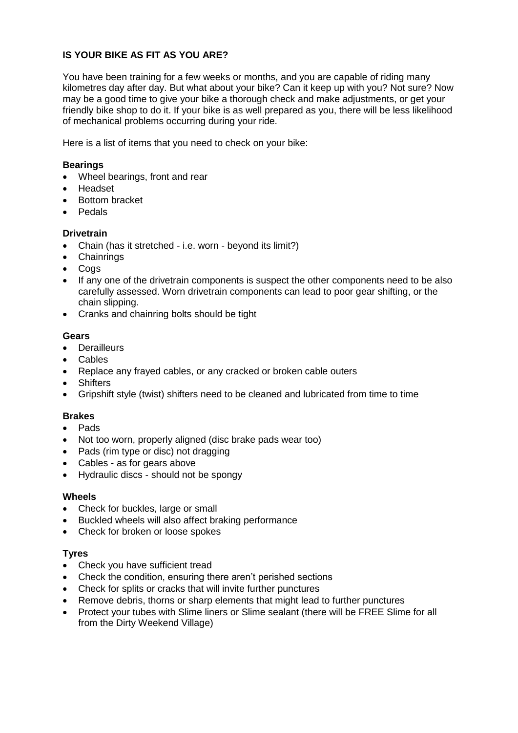# **IS YOUR BIKE AS FIT AS YOU ARE?**

You have been training for a few weeks or months, and you are capable of riding many kilometres day after day. But what about your bike? Can it keep up with you? Not sure? Now may be a good time to give your bike a thorough check and make adjustments, or get your friendly bike shop to do it. If your bike is as well prepared as you, there will be less likelihood of mechanical problems occurring during your ride.

Here is a list of items that you need to check on your bike:

# **Bearings**

- Wheel bearings, front and rear
- Headset
- Bottom bracket
- Pedals

## **Drivetrain**

- Chain (has it stretched i.e. worn beyond its limit?)
- Chainrings
- Coas
- If any one of the drivetrain components is suspect the other components need to be also carefully assessed. Worn drivetrain components can lead to poor gear shifting, or the chain slipping.
- Cranks and chainring bolts should be tight

# **Gears**

- Derailleurs
- Cables
- Replace any frayed cables, or any cracked or broken cable outers
- Shifters
- Gripshift style (twist) shifters need to be cleaned and lubricated from time to time

# **Brakes**

- Pads
- Not too worn, properly aligned (disc brake pads wear too)
- Pads (rim type or disc) not dragging
- Cables as for gears above
- Hydraulic discs should not be spongy

## **Wheels**

- Check for buckles, large or small
- Buckled wheels will also affect braking performance
- Check for broken or loose spokes

## **Tyres**

- Check you have sufficient tread
- Check the condition, ensuring there aren't perished sections
- Check for splits or cracks that will invite further punctures
- Remove debris, thorns or sharp elements that might lead to further punctures
- Protect your tubes with Slime liners or Slime sealant (there will be FREE Slime for all from the Dirty Weekend Village)